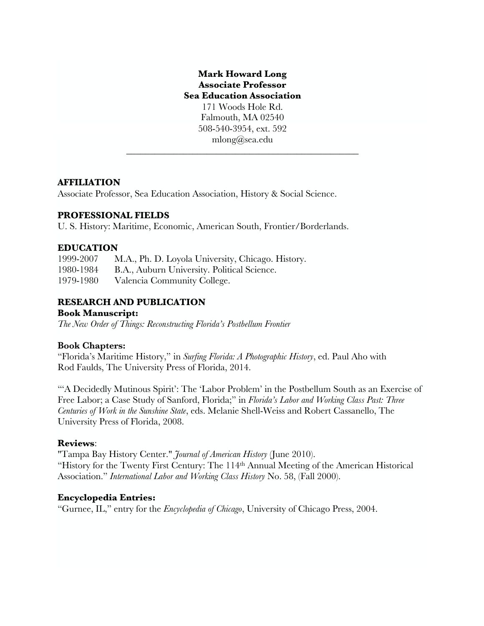**Mark Howard Long Associate Professor Sea Education Association** 171 Woods Hole Rd. Falmouth, MA 02540 508-540-3954, ext. 592 mlong@sea.edu \_\_\_\_\_\_\_\_\_\_\_\_\_\_\_\_\_\_\_\_\_\_\_\_\_\_\_\_\_\_\_\_\_\_\_\_\_\_\_\_\_\_\_\_\_\_\_\_\_

### **AFFILIATION**

Associate Professor, Sea Education Association, History & Social Science.

### **PROFESSIONAL FIELDS**

U. S. History: Maritime, Economic, American South, Frontier/Borderlands.

## **EDUCATION**

1999-2007 M.A., Ph. D. Loyola University, Chicago. History. 1980-1984 B.A., Auburn University. Political Science. 1979-1980 Valencia Community College.

# **RESEARCH AND PUBLICATION**

### **Book Manuscript:**

*The New Order of Things: Reconstructing Florida's Postbellum Frontier*

### **Book Chapters:**

"Florida's Maritime History," in *Surfing Florida: A Photographic History*, ed. Paul Aho with Rod Faulds, The University Press of Florida, 2014.

""A Decidedly Mutinous Spirit': The 'Labor Problem' in the Postbellum South as an Exercise of Free Labor; a Case Study of Sanford, Florida;" in *Florida's Labor and Working Class Past: Three Centuries of Work in the Sunshine State*, eds. Melanie Shell-Weiss and Robert Cassanello, The University Press of Florida, 2008.

## **Reviews**:

"Tampa Bay History Center." *Journal of American History* (June 2010). "History for the Twenty First Century: The 114th Annual Meeting of the American Historical Association." *International Labor and Working Class History* No. 58, (Fall 2000).

### **Encyclopedia Entries:**

"Gurnee, IL," entry for the *Encyclopedia of Chicago*, University of Chicago Press, 2004.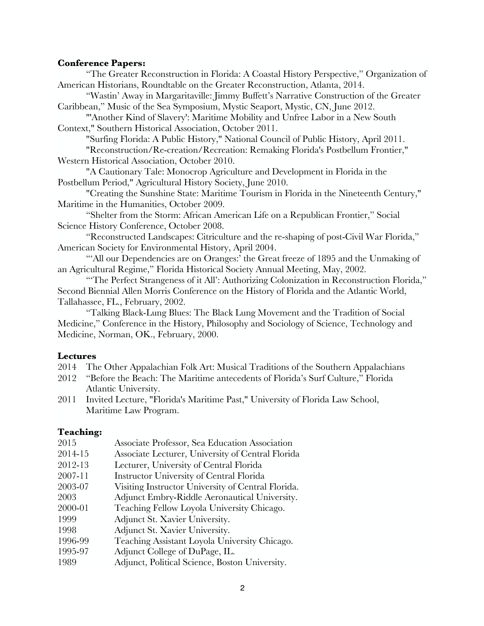#### **Conference Papers:**

"The Greater Reconstruction in Florida: A Coastal History Perspective," Organization of American Historians, Roundtable on the Greater Reconstruction, Atlanta, 2014.

"Wastin' Away in Margaritaville: Jimmy Buffett's Narrative Construction of the Greater Caribbean," Music of the Sea Symposium, Mystic Seaport, Mystic, CN, June 2012.

"'Another Kind of Slavery': Maritime Mobility and Unfree Labor in a New South Context," Southern Historical Association, October 2011.

"Surfing Florida: A Public History," National Council of Public History, April 2011.

"Reconstruction/Re-creation/Recreation: Remaking Florida's Postbellum Frontier," Western Historical Association, October 2010.

"A Cautionary Tale: Monocrop Agriculture and Development in Florida in the Postbellum Period," Agricultural History Society, June 2010.

"Creating the Sunshine State: Maritime Tourism in Florida in the Nineteenth Century," Maritime in the Humanities, October 2009.

"Shelter from the Storm: African American Life on a Republican Frontier," Social Science History Conference, October 2008.

"Reconstructed Landscapes: Citriculture and the re-shaping of post-Civil War Florida," American Society for Environmental History, April 2004.

"'All our Dependencies are on Oranges:' the Great freeze of 1895 and the Unmaking of an Agricultural Regime," Florida Historical Society Annual Meeting, May, 2002.

"'The Perfect Strangeness of it All': Authorizing Colonization in Reconstruction Florida," Second Biennial Allen Morris Conference on the History of Florida and the Atlantic World, Tallahassee, FL., February, 2002.

"Talking Black-Lung Blues: The Black Lung Movement and the Tradition of Social Medicine," Conference in the History, Philosophy and Sociology of Science, Technology and Medicine, Norman, OK., February, 2000.

#### **Lectures**

2014 The Other Appalachian Folk Art: Musical Traditions of the Southern Appalachians

- 2012 "Before the Beach: The Maritime antecedents of Florida's Surf Culture," Florida Atlantic University.
- 2011 Invited Lecture, "Florida's Maritime Past," University of Florida Law School, Maritime Law Program.

#### **Teaching:**

| 2015    | Associate Professor, Sea Education Association     |
|---------|----------------------------------------------------|
| 2014-15 | Associate Lecturer, University of Central Florida  |
| 2012-13 | Lecturer, University of Central Florida            |
| 2007-11 | Instructor University of Central Florida           |
| 2003-07 | Visiting Instructor University of Central Florida. |
| 2003    | Adjunct Embry-Riddle Aeronautical University.      |
| 2000-01 | Teaching Fellow Loyola University Chicago.         |
| 1999    | Adjunct St. Xavier University.                     |
| 1998    | Adjunct St. Xavier University.                     |
| 1996-99 | Teaching Assistant Loyola University Chicago.      |
| 1995-97 | Adjunct College of DuPage, IL.                     |
| 1989    | Adjunct, Political Science, Boston University.     |